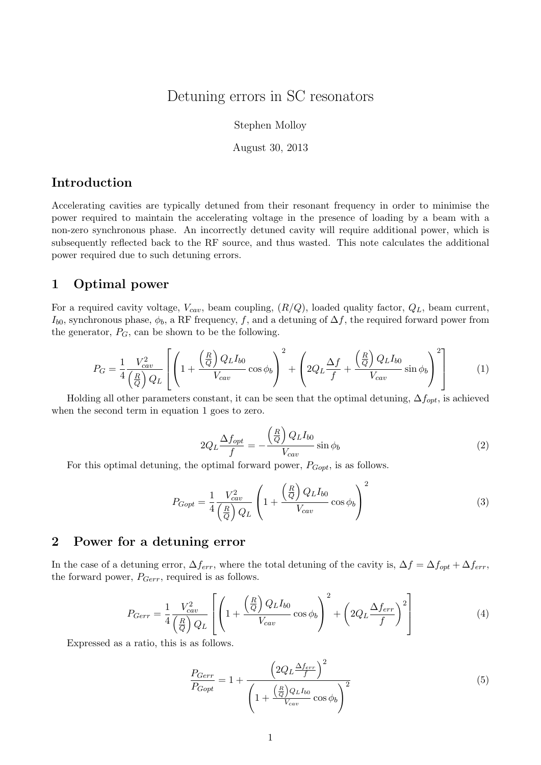# Detuning errors in SC resonators

Stephen Molloy

August 30, 2013

### Introduction

Accelerating cavities are typically detuned from their resonant frequency in order to minimise the power required to maintain the accelerating voltage in the presence of loading by a beam with a non-zero synchronous phase. An incorrectly detuned cavity will require additional power, which is subsequently reflected back to the RF source, and thus wasted. This note calculates the additional power required due to such detuning errors.

#### 1 Optimal power

For a required cavity voltage,  $V_{cav}$ , beam coupling,  $(R/Q)$ , loaded quality factor,  $Q_L$ , beam current,  $I_{b0}$ , synchronous phase,  $\phi_b$ , a RF frequency, f, and a detuning of  $\Delta f$ , the required forward power from the generator,  $P_G$ , can be shown to be the following.

$$
P_G = \frac{1}{4} \frac{V_{cav}^2}{\left(\frac{R}{Q}\right) Q_L} \left[ \left( 1 + \frac{\left(\frac{R}{Q}\right) Q_L I_{b0}}{V_{cav}} \cos \phi_b \right)^2 + \left( 2Q_L \frac{\Delta f}{f} + \frac{\left(\frac{R}{Q}\right) Q_L I_{b0}}{V_{cav}} \sin \phi_b \right)^2 \right] \tag{1}
$$

Holding all other parameters constant, it can be seen that the optimal detuning,  $\Delta f_{opt}$ , is achieved when the second term in equation 1 goes to zero.

$$
2Q_L \frac{\Delta f_{opt}}{f} = -\frac{\left(\frac{R}{Q}\right) Q_L I_{b0}}{V_{cav}} \sin \phi_b \tag{2}
$$

For this optimal detuning, the optimal forward power,  $P_{Gopt}$ , is as follows.

$$
P_{Gopt} = \frac{1}{4} \frac{V_{cav}^2}{\left(\frac{R}{Q}\right) Q_L} \left(1 + \frac{\left(\frac{R}{Q}\right) Q_L I_{b0}}{V_{cav}} \cos \phi_b\right)^2 \tag{3}
$$

## 2 Power for a detuning error

In the case of a detuning error,  $\Delta f_{err}$ , where the total detuning of the cavity is,  $\Delta f = \Delta f_{opt} + \Delta f_{err}$ , the forward power,  $P_{Gerr}$ , required is as follows.

$$
P_{Gerr} = \frac{1}{4} \frac{V_{cav}^2}{\left(\frac{R}{Q}\right) Q_L} \left[ \left( 1 + \frac{\left(\frac{R}{Q}\right) Q_L I_{b0}}{V_{cav}} \cos \phi_b \right)^2 + \left( 2Q_L \frac{\Delta f_{err}}{f} \right)^2 \right] \tag{4}
$$

Expressed as a ratio, this is as follows.

$$
\frac{P_{Gerr}}{P_{Gopt}} = 1 + \frac{\left(2Q_L \frac{\Delta f_{err}}{f}\right)^2}{\left(1 + \frac{\left(\frac{R}{Q}\right)Q_L I_{b0}}{V_{cav}} \cos \phi_b\right)^2}
$$
(5)